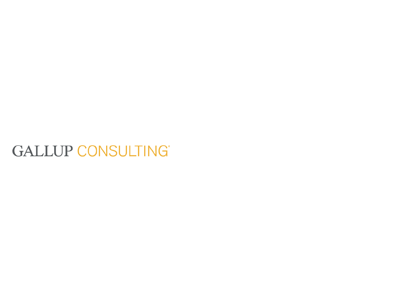## **GALLUP CONSULTING**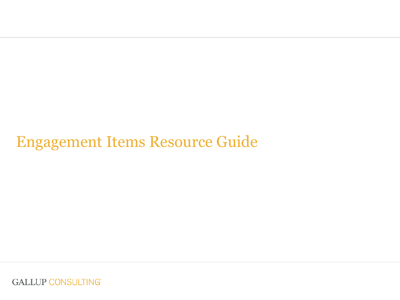## Engagement Items Resource Guide

**GALLUP CONSULTING**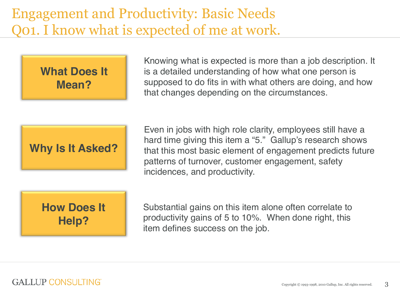#### Engagement and Productivity: Basic Needs Q01. I know what is expected of me at work.

**What Does It Mean?**

Knowing what is expected is more than a job description. It is a detailed understanding of how what one person is supposed to do fits in with what others are doing, and how that changes depending on the circumstances.

**Why Is It Asked?**

Even in jobs with high role clarity, employees still have a hard time giving this item a "5." Gallup's research shows that this most basic element of engagement predicts future patterns of turnover, customer engagement, safety incidences, and productivity.

#### **How Does It Help?**

Substantial gains on this item alone often correlate to productivity gains of 5 to 10%. When done right, this item defines success on the job.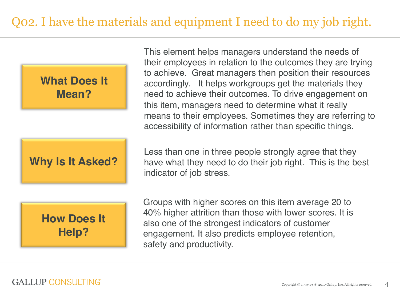



**How Does It Help?**

This element helps managers understand the needs of their employees in relation to the outcomes they are trying to achieve. Great managers then position their resources accordingly. It helps workgroups get the materials they need to achieve their outcomes. To drive engagement on this item, managers need to determine what it really means to their employees. Sometimes they are referring to accessibility of information rather than specific things.

Less than one in three people strongly agree that they have what they need to do their job right. This is the best indicator of job stress.

Groups with higher scores on this item average 20 to 40% higher attrition than those with lower scores. It is also one of the strongest indicators of customer engagement. It also predicts employee retention, safety and productivity.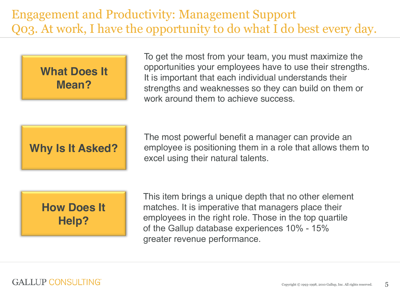#### Engagement and Productivity: Management Support Q03. At work, I have the opportunity to do what I do best every day.

**What Does It Mean?**

To get the most from your team, you must maximize the opportunities your employees have to use their strengths. It is important that each individual understands their strengths and weaknesses so they can build on them or work around them to achieve success.

**Why Is It Asked?**

The most powerful benefit a manager can provide an employee is positioning them in a role that allows them to excel using their natural talents.



This item brings a unique depth that no other element matches. It is imperative that managers place their employees in the right role. Those in the top quartile of the Gallup database experiences 10% - 15% greater revenue performance.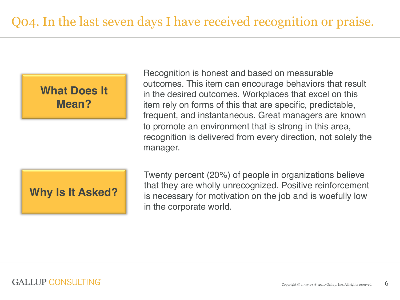

Recognition is honest and based on measurable outcomes. This item can encourage behaviors that result in the desired outcomes. Workplaces that excel on this item rely on forms of this that are specific, predictable, frequent, and instantaneous. Great managers are known to promote an environment that is strong in this area, recognition is delivered from every direction, not solely the manager.

**Why Is It Asked?**

Twenty percent (20%) of people in organizations believe that they are wholly unrecognized. Positive reinforcement is necessary for motivation on the job and is woefully low in the corporate world.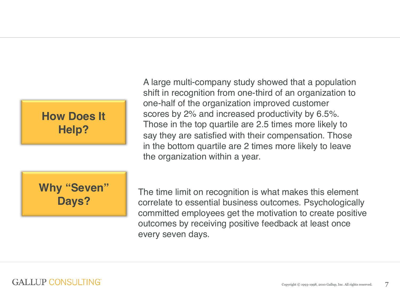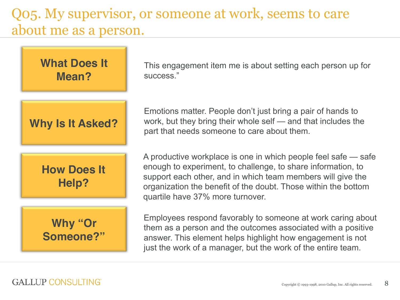#### Q05. My supervisor, or someone at work, seems to care about me as a person.

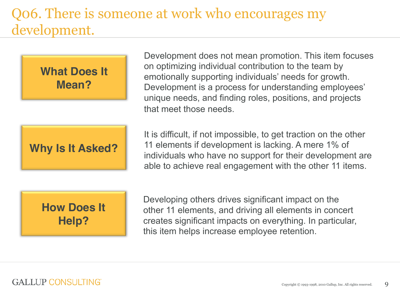#### Q06. There is someone at work who encourages my development.

**What Does It Mean?**

**Why Is It Asked?**

Development does not mean promotion. This item focuses on optimizing individual contribution to the team by emotionally supporting individuals' needs for growth. Development is a process for understanding employees' unique needs, and finding roles, positions, and projects that meet those needs.

It is difficult, if not impossible, to get traction on the other 11 elements if development is lacking. A mere 1% of individuals who have no support for their development are able to achieve real engagement with the other 11 items.

#### **How Does It Help?**

Developing others drives significant impact on the other 11 elements, and driving all elements in concert creates significant impacts on everything. In particular, this item helps increase employee retention.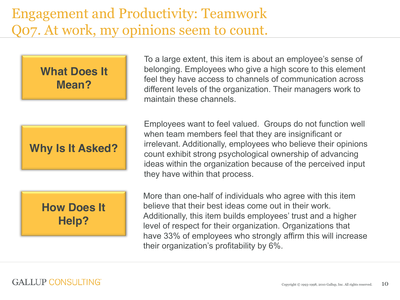#### Engagement and Productivity: Teamwork Q07. At work, my opinions seem to count.

**What Does It Mean?**

**Why Is It Asked?**

**How Does It Help?**

To a large extent, this item is about an employee's sense of belonging. Employees who give a high score to this element feel they have access to channels of communication across different levels of the organization. Their managers work to maintain these channels.

Employees want to feel valued. Groups do not function well when team members feel that they are insignificant or irrelevant. Additionally, employees who believe their opinions count exhibit strong psychological ownership of advancing ideas within the organization because of the perceived input they have within that process.

More than one-half of individuals who agree with this item believe that their best ideas come out in their work. Additionally, this item builds employees' trust and a higher level of respect for their organization. Organizations that have 33% of employees who strongly affirm this will increase their organization's profitability by 6%.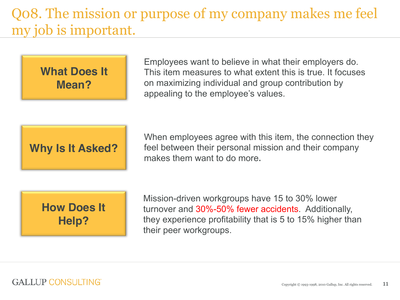## Q08. The mission or purpose of my company makes me feel my job is important.

**What Does It Mean?**

Employees want to believe in what their employers do. This item measures to what extent this is true. It focuses on maximizing individual and group contribution by appealing to the employee's values.

**Why Is It Asked?**

When employees agree with this item, the connection they feel between their personal mission and their company makes them want to do more**.**

**How Does It Help?**

Mission-driven workgroups have 15 to 30% lower turnover and 30%-50% fewer accidents. Additionally, they experience profitability that is 5 to 15% higher than their peer workgroups.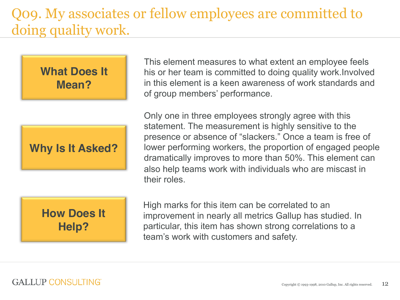#### Q09. My associates or fellow employees are committed to doing quality work.

**What Does It Mean?**

**Why Is It Asked?**

This element measures to what extent an employee feels his or her team is committed to doing quality work.Involved in this element is a keen awareness of work standards and of group members' performance.

Only one in three employees strongly agree with this statement. The measurement is highly sensitive to the presence or absence of "slackers." Once a team is free of lower performing workers, the proportion of engaged people dramatically improves to more than 50%. This element can also help teams work with individuals who are miscast in their roles.



High marks for this item can be correlated to an improvement in nearly all metrics Gallup has studied. In particular, this item has shown strong correlations to a team's work with customers and safety.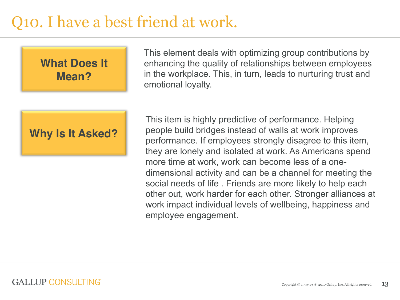# Q10. I have a best friend at work.



This element deals with optimizing group contributions by enhancing the quality of relationships between employees in the workplace. This, in turn, leads to nurturing trust and emotional loyalty.

**Why Is It Asked?**

This item is highly predictive of performance. Helping people build bridges instead of walls at work improves performance. If employees strongly disagree to this item, they are lonely and isolated at work. As Americans spend more time at work, work can become less of a onedimensional activity and can be a channel for meeting the social needs of life . Friends are more likely to help each other out, work harder for each other. Stronger alliances at work impact individual levels of wellbeing, happiness and employee engagement.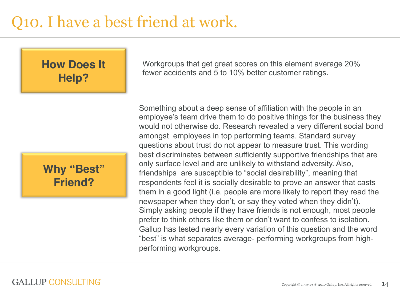# Q10. I have a best friend at work.

**How Does It Help?**



Workgroups that get great scores on this element average 20% fewer accidents and 5 to 10% better customer ratings.

Something about a deep sense of affiliation with the people in an employee's team drive them to do positive things for the business they would not otherwise do. Research revealed a very different social bond amongst employees in top performing teams. Standard survey questions about trust do not appear to measure trust. This wording best discriminates between sufficiently supportive friendships that are only surface level and are unlikely to withstand adversity. Also, friendships are susceptible to "social desirability", meaning that respondents feel it is socially desirable to prove an answer that casts them in a good light (i.e. people are more likely to report they read the newspaper when they don't, or say they voted when they didn't). Simply asking people if they have friends is not enough, most people prefer to think others like them or don't want to confess to isolation. Gallup has tested nearly every variation of this question and the word "best" is what separates average- performing workgroups from highperforming workgroups.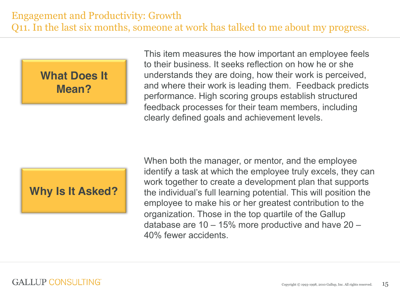#### **What Does It Mean?**

This item measures the how important an employee feels to their business. It seeks reflection on how he or she understands they are doing, how their work is perceived, and where their work is leading them. Feedback predicts performance. High scoring groups establish structured feedback processes for their team members, including clearly defined goals and achievement levels.

#### **Why Is It Asked?**

When both the manager, or mentor, and the employee identify a task at which the employee truly excels, they can work together to create a development plan that supports the individual's full learning potential. This will position the employee to make his or her greatest contribution to the organization. Those in the top quartile of the Gallup database are  $10 - 15\%$  more productive and have  $20 -$ 40% fewer accidents.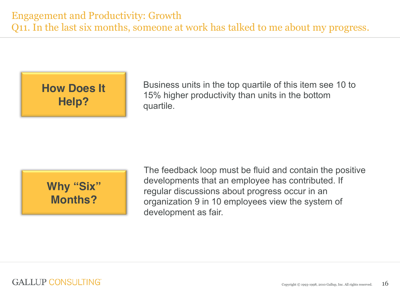**How Does It Help?**

Business units in the top quartile of this item see 10 to 15% higher productivity than units in the bottom quartile.

**Why "Six" Months?**

The feedback loop must be fluid and contain the positive developments that an employee has contributed. If regular discussions about progress occur in an organization 9 in 10 employees view the system of development as fair.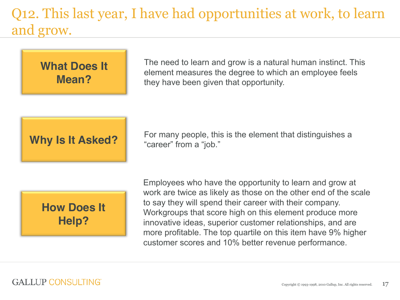## Q12. This last year, I have had opportunities at work, to learn and grow.



The need to learn and grow is a natural human instinct. This element measures the degree to which an employee feels they have been given that opportunity.

**Why Is It Asked?**

For many people, this is the element that distinguishes a "career" from a "job."



Employees who have the opportunity to learn and grow at work are twice as likely as those on the other end of the scale to say they will spend their career with their company. Workgroups that score high on this element produce more innovative ideas, superior customer relationships, and are more profitable. The top quartile on this item have 9% higher customer scores and 10% better revenue performance.